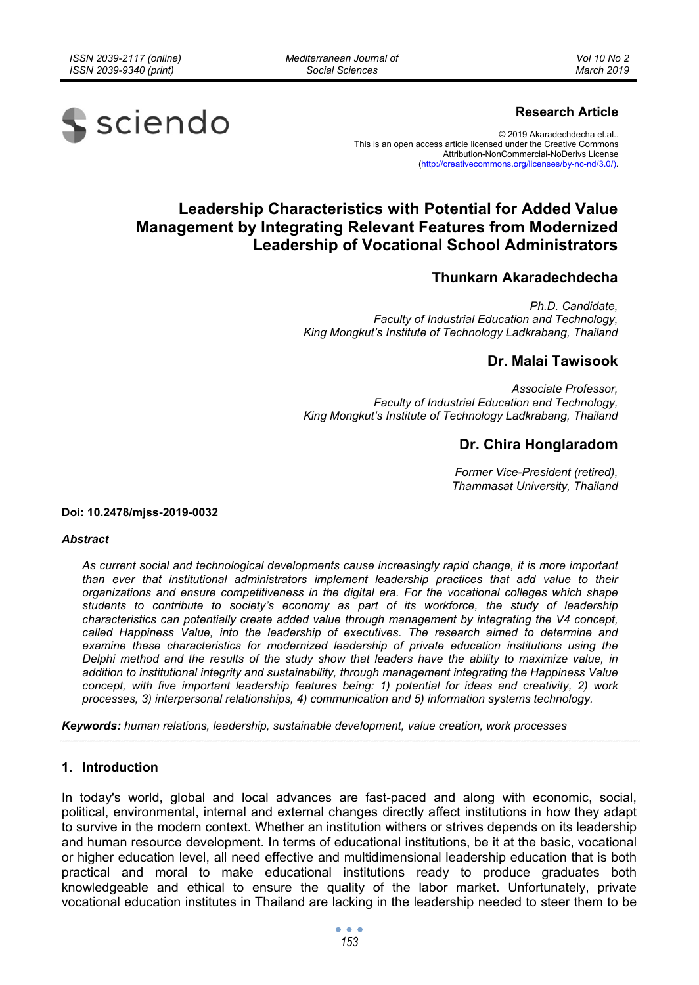*Mediterranean Journal of Social Sciences* 



### **Research Article**

© 2019 Akaradechdecha et.al.. This is an open access article licensed under the Creative Commons Attribution-NonCommercial-NoDerivs License (http://creativecommons.org/licenses/by-nc-nd/3.0/).

# **Leadership Characteristics with Potential for Added Value Management by Integrating Relevant Features from Modernized Leadership of Vocational School Administrators**

## **Thunkarn Akaradechdecha**

*Ph.D. Candidate, Faculty of Industrial Education and Technology, King Mongkut's Institute of Technology Ladkrabang, Thailand* 

### **Dr. Malai Tawisook**

*Associate Professor, Faculty of Industrial Education and Technology, King Mongkut's Institute of Technology Ladkrabang, Thailand* 

## **Dr. Chira Honglaradom**

*Former Vice-President (retired), Thammasat University, Thailand* 

#### **Doi: 10.2478/mjss-2019-0032**

#### *Abstract*

*As current social and technological developments cause increasingly rapid change, it is more important than ever that institutional administrators implement leadership practices that add value to their organizations and ensure competitiveness in the digital era. For the vocational colleges which shape students to contribute to society's economy as part of its workforce, the study of leadership characteristics can potentially create added value through management by integrating the V4 concept, called Happiness Value, into the leadership of executives. The research aimed to determine and examine these characteristics for modernized leadership of private education institutions using the Delphi method and the results of the study show that leaders have the ability to maximize value, in addition to institutional integrity and sustainability, through management integrating the Happiness Value concept, with five important leadership features being: 1) potential for ideas and creativity, 2) work processes, 3) interpersonal relationships, 4) communication and 5) information systems technology.* 

*Keywords: human relations, leadership, sustainable development, value creation, work processes* 

#### **1. Introduction**

In today's world, global and local advances are fast-paced and along with economic, social, political, environmental, internal and external changes directly affect institutions in how they adapt to survive in the modern context. Whether an institution withers or strives depends on its leadership and human resource development. In terms of educational institutions, be it at the basic, vocational or higher education level, all need effective and multidimensional leadership education that is both practical and moral to make educational institutions ready to produce graduates both knowledgeable and ethical to ensure the quality of the labor market. Unfortunately, private vocational education institutes in Thailand are lacking in the leadership needed to steer them to be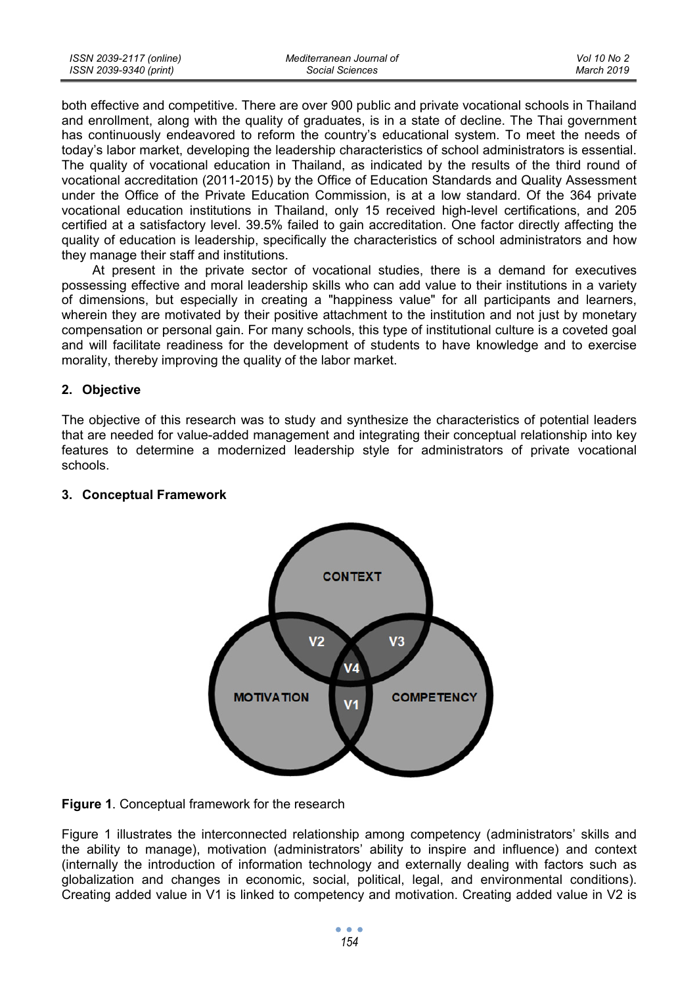| ISSN 2039-2117 (online) | Mediterranean Journal of | Vol 10 No 2 |
|-------------------------|--------------------------|-------------|
| ISSN 2039-9340 (print)  | Social Sciences          | March 2019  |

both effective and competitive. There are over 900 public and private vocational schools in Thailand and enrollment, along with the quality of graduates, is in a state of decline. The Thai government has continuously endeavored to reform the country's educational system. To meet the needs of today's labor market, developing the leadership characteristics of school administrators is essential. The quality of vocational education in Thailand, as indicated by the results of the third round of vocational accreditation (2011-2015) by the Office of Education Standards and Quality Assessment under the Office of the Private Education Commission, is at a low standard. Of the 364 private vocational education institutions in Thailand, only 15 received high-level certifications, and 205 certified at a satisfactory level. 39.5% failed to gain accreditation. One factor directly affecting the quality of education is leadership, specifically the characteristics of school administrators and how they manage their staff and institutions.

At present in the private sector of vocational studies, there is a demand for executives possessing effective and moral leadership skills who can add value to their institutions in a variety of dimensions, but especially in creating a "happiness value" for all participants and learners, wherein they are motivated by their positive attachment to the institution and not just by monetary compensation or personal gain. For many schools, this type of institutional culture is a coveted goal and will facilitate readiness for the development of students to have knowledge and to exercise morality, thereby improving the quality of the labor market.

#### **2. Objective**

The objective of this research was to study and synthesize the characteristics of potential leaders that are needed for value-added management and integrating their conceptual relationship into key features to determine a modernized leadership style for administrators of private vocational schools.



#### **3. Conceptual Framework**

**Figure 1**. Conceptual framework for the research

Figure 1 illustrates the interconnected relationship among competency (administrators' skills and the ability to manage), motivation (administrators' ability to inspire and influence) and context (internally the introduction of information technology and externally dealing with factors such as globalization and changes in economic, social, political, legal, and environmental conditions). Creating added value in V1 is linked to competency and motivation. Creating added value in V2 is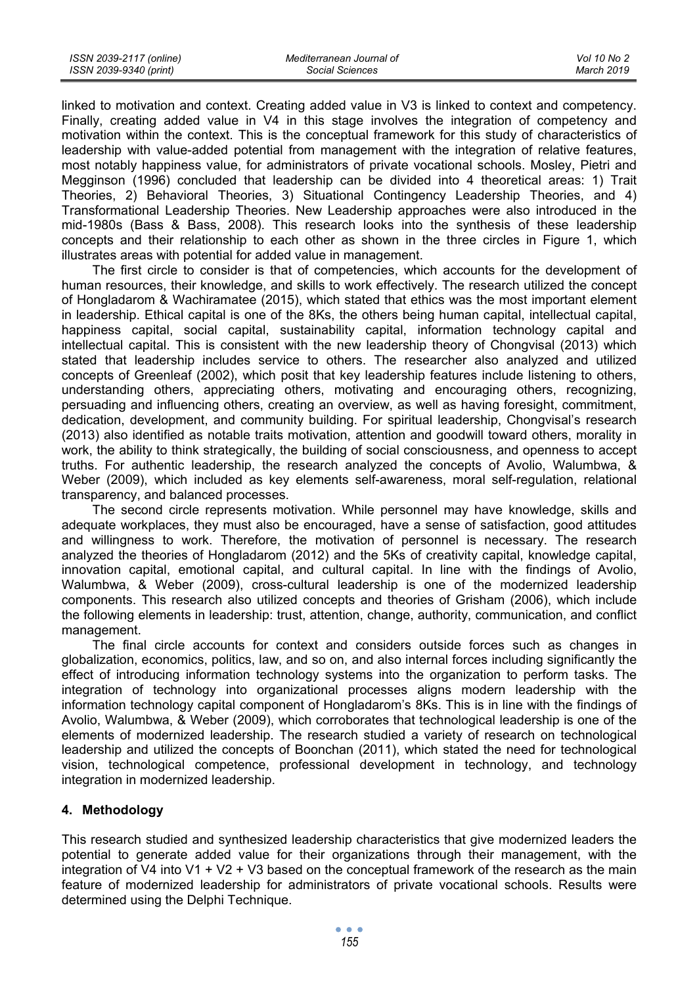| ISSN 2039-2117 (online) | Mediterranean Journal of | Vol 10 No 2 |
|-------------------------|--------------------------|-------------|
| ISSN 2039-9340 (print)  | Social Sciences          | March 2019  |

linked to motivation and context. Creating added value in V3 is linked to context and competency. Finally, creating added value in V4 in this stage involves the integration of competency and motivation within the context. This is the conceptual framework for this study of characteristics of leadership with value-added potential from management with the integration of relative features, most notably happiness value, for administrators of private vocational schools. Mosley, Pietri and Megginson (1996) concluded that leadership can be divided into 4 theoretical areas: 1) Trait Theories, 2) Behavioral Theories, 3) Situational Contingency Leadership Theories, and 4) Transformational Leadership Theories. New Leadership approaches were also introduced in the mid-1980s (Bass & Bass, 2008). This research looks into the synthesis of these leadership concepts and their relationship to each other as shown in the three circles in Figure 1, which illustrates areas with potential for added value in management.

The first circle to consider is that of competencies, which accounts for the development of human resources, their knowledge, and skills to work effectively. The research utilized the concept of Hongladarom & Wachiramatee (2015), which stated that ethics was the most important element in leadership. Ethical capital is one of the 8Ks, the others being human capital, intellectual capital, happiness capital, social capital, sustainability capital, information technology capital and intellectual capital. This is consistent with the new leadership theory of Chongvisal (2013) which stated that leadership includes service to others. The researcher also analyzed and utilized concepts of Greenleaf (2002), which posit that key leadership features include listening to others, understanding others, appreciating others, motivating and encouraging others, recognizing, persuading and influencing others, creating an overview, as well as having foresight, commitment, dedication, development, and community building. For spiritual leadership, Chongvisal's research (2013) also identified as notable traits motivation, attention and goodwill toward others, morality in work, the ability to think strategically, the building of social consciousness, and openness to accept truths. For authentic leadership, the research analyzed the concepts of Avolio, Walumbwa, & Weber (2009), which included as key elements self-awareness, moral self-regulation, relational transparency, and balanced processes.

The second circle represents motivation. While personnel may have knowledge, skills and adequate workplaces, they must also be encouraged, have a sense of satisfaction, good attitudes and willingness to work. Therefore, the motivation of personnel is necessary. The research analyzed the theories of Hongladarom (2012) and the 5Ks of creativity capital, knowledge capital, innovation capital, emotional capital, and cultural capital. In line with the findings of Avolio, Walumbwa, & Weber (2009), cross-cultural leadership is one of the modernized leadership components. This research also utilized concepts and theories of Grisham (2006), which include the following elements in leadership: trust, attention, change, authority, communication, and conflict management.

The final circle accounts for context and considers outside forces such as changes in globalization, economics, politics, law, and so on, and also internal forces including significantly the effect of introducing information technology systems into the organization to perform tasks. The integration of technology into organizational processes aligns modern leadership with the information technology capital component of Hongladarom's 8Ks. This is in line with the findings of Avolio, Walumbwa, & Weber (2009), which corroborates that technological leadership is one of the elements of modernized leadership. The research studied a variety of research on technological leadership and utilized the concepts of Boonchan (2011), which stated the need for technological vision, technological competence, professional development in technology, and technology integration in modernized leadership.

#### **4. Methodology**

This research studied and synthesized leadership characteristics that give modernized leaders the potential to generate added value for their organizations through their management, with the integration of V4 into V1 + V2 + V3 based on the conceptual framework of the research as the main feature of modernized leadership for administrators of private vocational schools. Results were determined using the Delphi Technique.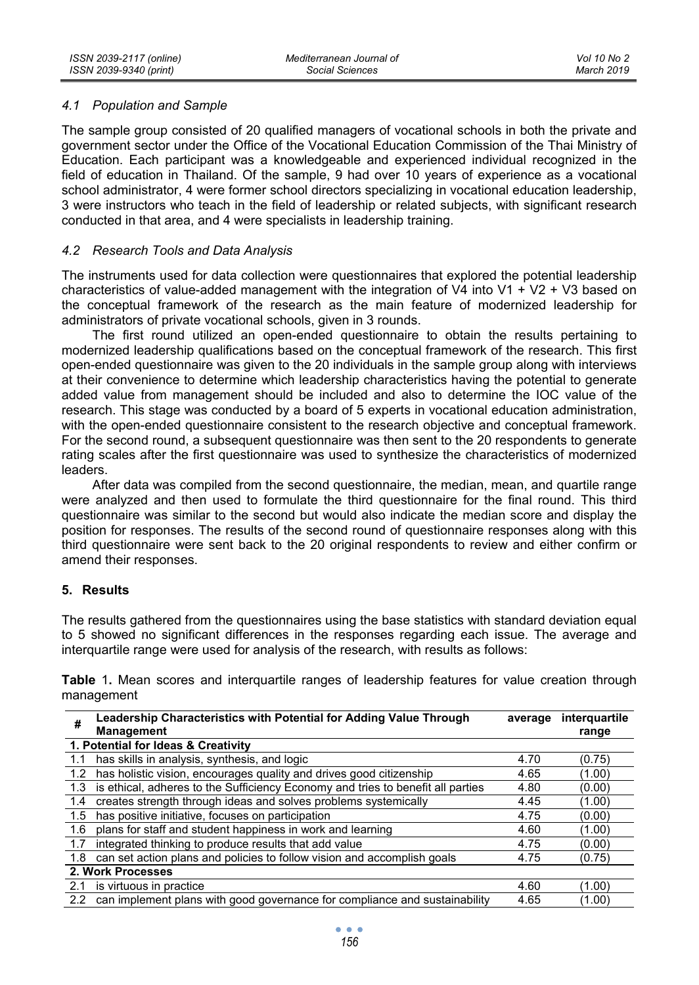#### *4.1 Population and Sample*

The sample group consisted of 20 qualified managers of vocational schools in both the private and government sector under the Office of the Vocational Education Commission of the Thai Ministry of Education. Each participant was a knowledgeable and experienced individual recognized in the field of education in Thailand. Of the sample, 9 had over 10 years of experience as a vocational school administrator, 4 were former school directors specializing in vocational education leadership, 3 were instructors who teach in the field of leadership or related subjects, with significant research conducted in that area, and 4 were specialists in leadership training.

#### *4.2 Research Tools and Data Analysis*

The instruments used for data collection were questionnaires that explored the potential leadership characteristics of value-added management with the integration of V4 into V1 + V2 + V3 based on the conceptual framework of the research as the main feature of modernized leadership for administrators of private vocational schools, given in 3 rounds.

The first round utilized an open-ended questionnaire to obtain the results pertaining to modernized leadership qualifications based on the conceptual framework of the research. This first open-ended questionnaire was given to the 20 individuals in the sample group along with interviews at their convenience to determine which leadership characteristics having the potential to generate added value from management should be included and also to determine the IOC value of the research. This stage was conducted by a board of 5 experts in vocational education administration, with the open-ended questionnaire consistent to the research objective and conceptual framework. For the second round, a subsequent questionnaire was then sent to the 20 respondents to generate rating scales after the first questionnaire was used to synthesize the characteristics of modernized leaders.

After data was compiled from the second questionnaire, the median, mean, and quartile range were analyzed and then used to formulate the third questionnaire for the final round. This third questionnaire was similar to the second but would also indicate the median score and display the position for responses. The results of the second round of questionnaire responses along with this third questionnaire were sent back to the 20 original respondents to review and either confirm or amend their responses.

#### **5. Results**

The results gathered from the questionnaires using the base statistics with standard deviation equal to 5 showed no significant differences in the responses regarding each issue. The average and interquartile range were used for analysis of the research, with results as follows:

**Table** 1**.** Mean scores and interquartile ranges of leadership features for value creation through management

| #   | Leadership Characteristics with Potential for Adding Value Through<br><b>Management</b> | average | interquartile<br>range |
|-----|-----------------------------------------------------------------------------------------|---------|------------------------|
|     | 1. Potential for Ideas & Creativity                                                     |         |                        |
| 1.1 | has skills in analysis, synthesis, and logic                                            | 4.70    | (0.75)                 |
| 1.2 | has holistic vision, encourages quality and drives good citizenship                     | 4.65    | (1.00)                 |
| 1.3 | is ethical, adheres to the Sufficiency Economy and tries to benefit all parties         | 4.80    | (0.00)                 |
| 1.4 | creates strength through ideas and solves problems systemically                         | 4.45    | (1.00)                 |
| 1.5 | has positive initiative, focuses on participation                                       | 4.75    | (0.00)                 |
| 1.6 | plans for staff and student happiness in work and learning                              | 4.60    | (1.00)                 |
| 1.7 | integrated thinking to produce results that add value                                   | 4.75    | (0.00)                 |
| 1.8 | can set action plans and policies to follow vision and accomplish goals                 | 4.75    | (0.75)                 |
|     | 2. Work Processes                                                                       |         |                        |
| 2.1 | is virtuous in practice                                                                 | 4.60    | (1.00)                 |
|     | 2.2 can implement plans with good governance for compliance and sustainability          | 4.65    | (1.00)                 |

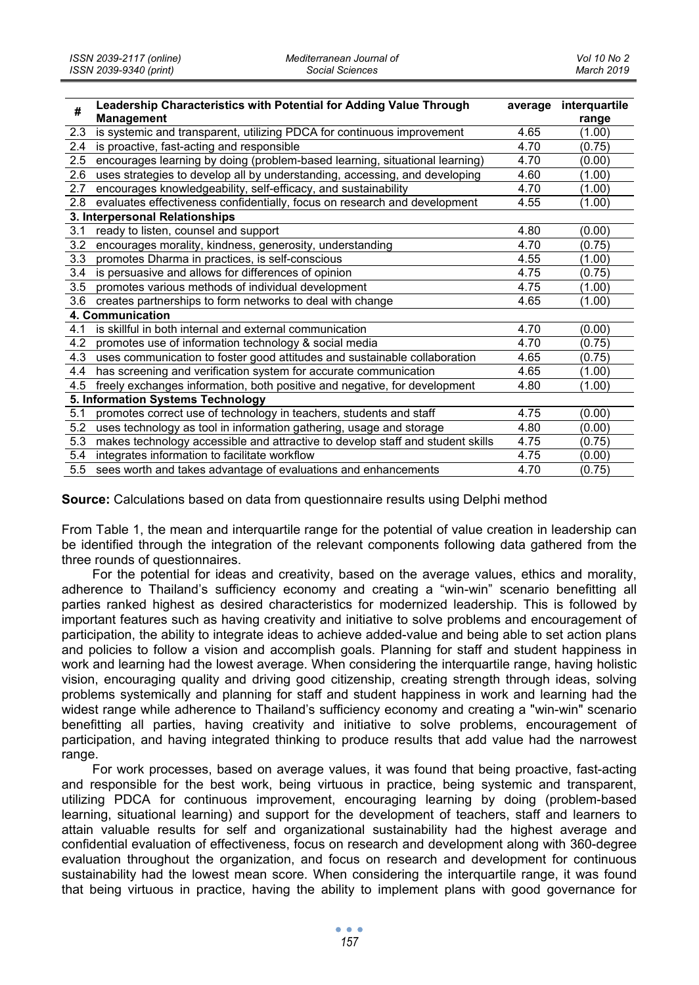| #   | Leadership Characteristics with Potential for Adding Value Through<br>Management |      | average interquartile<br>range |
|-----|----------------------------------------------------------------------------------|------|--------------------------------|
| 2.3 | is systemic and transparent, utilizing PDCA for continuous improvement           | 4.65 | (1.00)                         |
| 2.4 | is proactive, fast-acting and responsible                                        | 4.70 | (0.75)                         |
| 2.5 | encourages learning by doing (problem-based learning, situational learning)      | 4.70 | (0.00)                         |
| 2.6 | uses strategies to develop all by understanding, accessing, and developing       | 4.60 | (1.00)                         |
| 2.7 | encourages knowledgeability, self-efficacy, and sustainability                   | 4.70 | (1.00)                         |
| 2.8 | evaluates effectiveness confidentially, focus on research and development        | 4.55 | (1.00)                         |
|     | 3. Interpersonal Relationships                                                   |      |                                |
| 3.1 | ready to listen, counsel and support                                             | 4.80 | (0.00)                         |
| 3.2 | encourages morality, kindness, generosity, understanding                         | 4.70 | (0.75)                         |
| 3.3 | promotes Dharma in practices, is self-conscious                                  | 4.55 | (1.00)                         |
| 3.4 | is persuasive and allows for differences of opinion                              | 4.75 | (0.75)                         |
| 3.5 | promotes various methods of individual development                               | 4.75 | (1.00)                         |
| 3.6 | creates partnerships to form networks to deal with change                        | 4.65 | (1.00)                         |
|     | 4. Communication                                                                 |      |                                |
| 4.1 | is skillful in both internal and external communication                          | 4.70 | (0.00)                         |
| 4.2 | promotes use of information technology & social media                            | 4.70 | (0.75)                         |
| 4.3 | uses communication to foster good attitudes and sustainable collaboration        | 4.65 | (0.75)                         |
| 4.4 | has screening and verification system for accurate communication                 | 4.65 | (1.00)                         |
| 4.5 | freely exchanges information, both positive and negative, for development        | 4.80 | (1.00)                         |
|     | 5. Information Systems Technology                                                |      |                                |
| 5.1 | promotes correct use of technology in teachers, students and staff               | 4.75 | (0.00)                         |
| 5.2 | uses technology as tool in information gathering, usage and storage              | 4.80 | (0.00)                         |
| 5.3 | makes technology accessible and attractive to develop staff and student skills   | 4.75 | (0.75)                         |
| 5.4 | integrates information to facilitate workflow                                    | 4.75 | (0.00)                         |
|     | 5.5 sees worth and takes advantage of evaluations and enhancements               | 4.70 | (0.75)                         |

**Source:** Calculations based on data from questionnaire results using Delphi method

From Table 1, the mean and interquartile range for the potential of value creation in leadership can be identified through the integration of the relevant components following data gathered from the three rounds of questionnaires.

For the potential for ideas and creativity, based on the average values, ethics and morality, adherence to Thailand's sufficiency economy and creating a "win-win" scenario benefitting all parties ranked highest as desired characteristics for modernized leadership. This is followed by important features such as having creativity and initiative to solve problems and encouragement of participation, the ability to integrate ideas to achieve added-value and being able to set action plans and policies to follow a vision and accomplish goals. Planning for staff and student happiness in work and learning had the lowest average. When considering the interquartile range, having holistic vision, encouraging quality and driving good citizenship, creating strength through ideas, solving problems systemically and planning for staff and student happiness in work and learning had the widest range while adherence to Thailand's sufficiency economy and creating a "win-win" scenario benefitting all parties, having creativity and initiative to solve problems, encouragement of participation, and having integrated thinking to produce results that add value had the narrowest range.

For work processes, based on average values, it was found that being proactive, fast-acting and responsible for the best work, being virtuous in practice, being systemic and transparent, utilizing PDCA for continuous improvement, encouraging learning by doing (problem-based learning, situational learning) and support for the development of teachers, staff and learners to attain valuable results for self and organizational sustainability had the highest average and confidential evaluation of effectiveness, focus on research and development along with 360-degree evaluation throughout the organization, and focus on research and development for continuous sustainability had the lowest mean score. When considering the interquartile range, it was found that being virtuous in practice, having the ability to implement plans with good governance for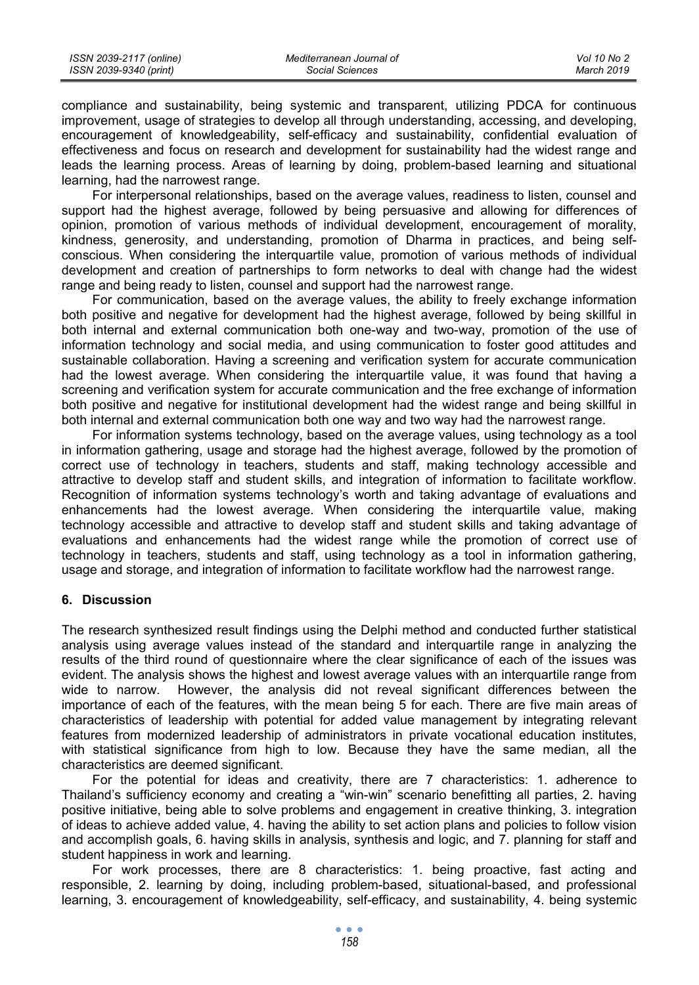| ISSN 2039-2117 (online) | Mediterranean Journal of | Vol 10 No 2 |
|-------------------------|--------------------------|-------------|
| ISSN 2039-9340 (print)  | Social Sciences          | March 2019  |

compliance and sustainability, being systemic and transparent, utilizing PDCA for continuous improvement, usage of strategies to develop all through understanding, accessing, and developing, encouragement of knowledgeability, self-efficacy and sustainability, confidential evaluation of effectiveness and focus on research and development for sustainability had the widest range and leads the learning process. Areas of learning by doing, problem-based learning and situational learning, had the narrowest range.

For interpersonal relationships, based on the average values, readiness to listen, counsel and support had the highest average, followed by being persuasive and allowing for differences of opinion, promotion of various methods of individual development, encouragement of morality, kindness, generosity, and understanding, promotion of Dharma in practices, and being selfconscious. When considering the interquartile value, promotion of various methods of individual development and creation of partnerships to form networks to deal with change had the widest range and being ready to listen, counsel and support had the narrowest range.

For communication, based on the average values, the ability to freely exchange information both positive and negative for development had the highest average, followed by being skillful in both internal and external communication both one-way and two-way, promotion of the use of information technology and social media, and using communication to foster good attitudes and sustainable collaboration. Having a screening and verification system for accurate communication had the lowest average. When considering the interquartile value, it was found that having a screening and verification system for accurate communication and the free exchange of information both positive and negative for institutional development had the widest range and being skillful in both internal and external communication both one way and two way had the narrowest range.

For information systems technology, based on the average values, using technology as a tool in information gathering, usage and storage had the highest average, followed by the promotion of correct use of technology in teachers, students and staff, making technology accessible and attractive to develop staff and student skills, and integration of information to facilitate workflow. Recognition of information systems technology's worth and taking advantage of evaluations and enhancements had the lowest average. When considering the interquartile value, making technology accessible and attractive to develop staff and student skills and taking advantage of evaluations and enhancements had the widest range while the promotion of correct use of technology in teachers, students and staff, using technology as a tool in information gathering, usage and storage, and integration of information to facilitate workflow had the narrowest range.

#### **6. Discussion**

The research synthesized result findings using the Delphi method and conducted further statistical analysis using average values instead of the standard and interquartile range in analyzing the results of the third round of questionnaire where the clear significance of each of the issues was evident. The analysis shows the highest and lowest average values with an interquartile range from wide to narrow. However, the analysis did not reveal significant differences between the importance of each of the features, with the mean being 5 for each. There are five main areas of characteristics of leadership with potential for added value management by integrating relevant features from modernized leadership of administrators in private vocational education institutes, with statistical significance from high to low. Because they have the same median, all the characteristics are deemed significant.

For the potential for ideas and creativity, there are 7 characteristics: 1. adherence to Thailand's sufficiency economy and creating a "win-win" scenario benefitting all parties, 2. having positive initiative, being able to solve problems and engagement in creative thinking, 3. integration of ideas to achieve added value, 4. having the ability to set action plans and policies to follow vision and accomplish goals, 6. having skills in analysis, synthesis and logic, and 7. planning for staff and student happiness in work and learning.

For work processes, there are 8 characteristics: 1. being proactive, fast acting and responsible, 2. learning by doing, including problem-based, situational-based, and professional learning, 3. encouragement of knowledgeability, self-efficacy, and sustainability, 4. being systemic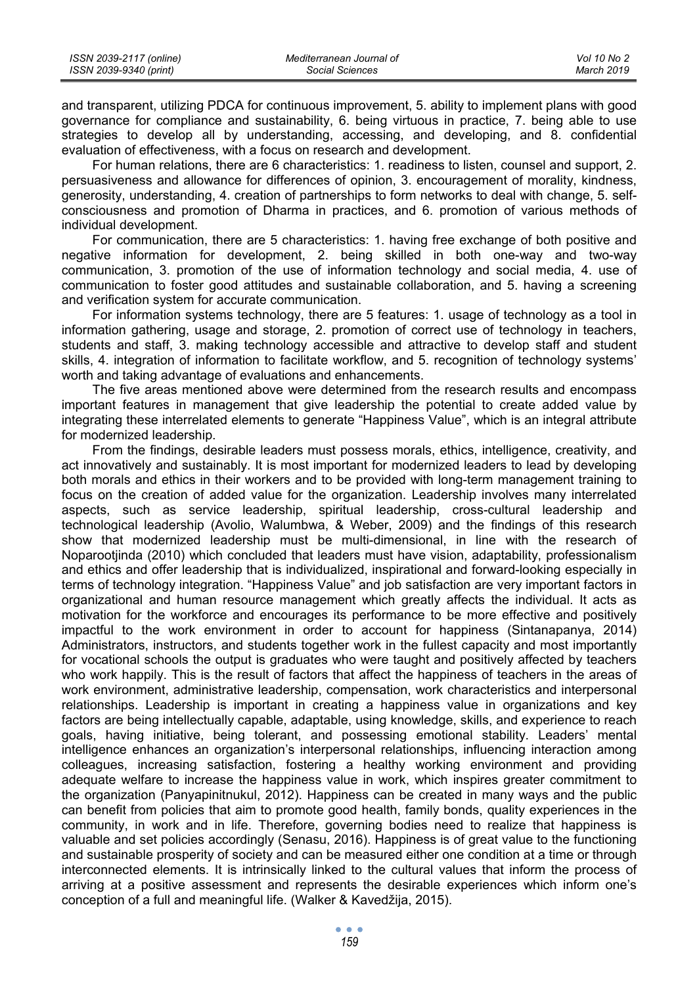| ISSN 2039-2117 (online) | Mediterranean Journal of | Vol 10 No 2 |
|-------------------------|--------------------------|-------------|
| ISSN 2039-9340 (print)  | Social Sciences          | March 2019  |

and transparent, utilizing PDCA for continuous improvement, 5. ability to implement plans with good governance for compliance and sustainability, 6. being virtuous in practice, 7. being able to use strategies to develop all by understanding, accessing, and developing, and 8. confidential evaluation of effectiveness, with a focus on research and development.

For human relations, there are 6 characteristics: 1. readiness to listen, counsel and support, 2. persuasiveness and allowance for differences of opinion, 3. encouragement of morality, kindness, generosity, understanding, 4. creation of partnerships to form networks to deal with change, 5. selfconsciousness and promotion of Dharma in practices, and 6. promotion of various methods of individual development.

For communication, there are 5 characteristics: 1. having free exchange of both positive and negative information for development, 2. being skilled in both one-way and two-way communication, 3. promotion of the use of information technology and social media, 4. use of communication to foster good attitudes and sustainable collaboration, and 5. having a screening and verification system for accurate communication.

For information systems technology, there are 5 features: 1. usage of technology as a tool in information gathering, usage and storage, 2. promotion of correct use of technology in teachers, students and staff, 3. making technology accessible and attractive to develop staff and student skills, 4. integration of information to facilitate workflow, and 5. recognition of technology systems' worth and taking advantage of evaluations and enhancements.

The five areas mentioned above were determined from the research results and encompass important features in management that give leadership the potential to create added value by integrating these interrelated elements to generate "Happiness Value", which is an integral attribute for modernized leadership.

From the findings, desirable leaders must possess morals, ethics, intelligence, creativity, and act innovatively and sustainably. It is most important for modernized leaders to lead by developing both morals and ethics in their workers and to be provided with long-term management training to focus on the creation of added value for the organization. Leadership involves many interrelated aspects, such as service leadership, spiritual leadership, cross-cultural leadership and technological leadership (Avolio, Walumbwa, & Weber, 2009) and the findings of this research show that modernized leadership must be multi-dimensional, in line with the research of Noparootjinda (2010) which concluded that leaders must have vision, adaptability, professionalism and ethics and offer leadership that is individualized, inspirational and forward-looking especially in terms of technology integration. "Happiness Value" and job satisfaction are very important factors in organizational and human resource management which greatly affects the individual. It acts as motivation for the workforce and encourages its performance to be more effective and positively impactful to the work environment in order to account for happiness (Sintanapanya, 2014) Administrators, instructors, and students together work in the fullest capacity and most importantly for vocational schools the output is graduates who were taught and positively affected by teachers who work happily. This is the result of factors that affect the happiness of teachers in the areas of work environment, administrative leadership, compensation, work characteristics and interpersonal relationships. Leadership is important in creating a happiness value in organizations and key factors are being intellectually capable, adaptable, using knowledge, skills, and experience to reach goals, having initiative, being tolerant, and possessing emotional stability. Leaders' mental intelligence enhances an organization's interpersonal relationships, influencing interaction among colleagues, increasing satisfaction, fostering a healthy working environment and providing adequate welfare to increase the happiness value in work, which inspires greater commitment to the organization (Panyapinitnukul, 2012). Happiness can be created in many ways and the public can benefit from policies that aim to promote good health, family bonds, quality experiences in the community, in work and in life. Therefore, governing bodies need to realize that happiness is valuable and set policies accordingly (Senasu, 2016). Happiness is of great value to the functioning and sustainable prosperity of society and can be measured either one condition at a time or through interconnected elements. It is intrinsically linked to the cultural values that inform the process of arriving at a positive assessment and represents the desirable experiences which inform one's conception of a full and meaningful life. (Walker & Kavedžija, 2015).